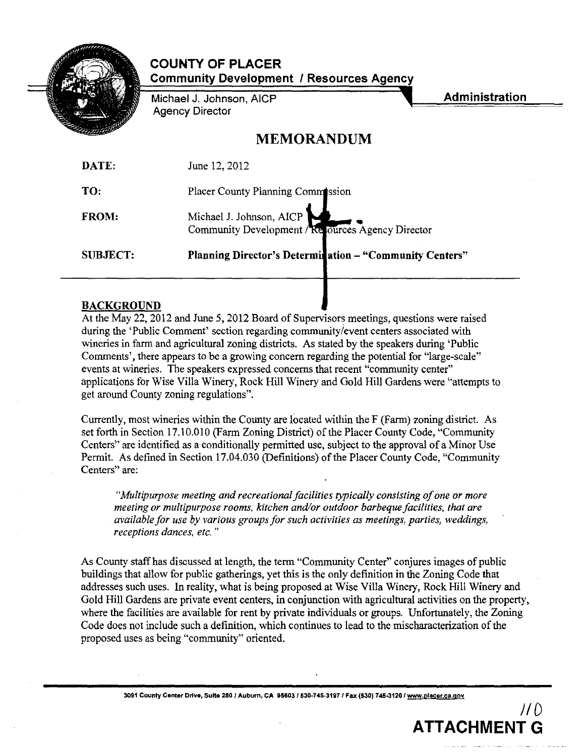

**COUNTY OF PLACER Community Development I Resources Agency**

Michael J. Johnson, AICP Agency Director

**Administration**

 $1/0$ 

**ATTACHMENT G**

# **MEMORANDUM**

| <b>SUBJECT:</b> | Planning Director's Determination - "Community Centers"                       |
|-----------------|-------------------------------------------------------------------------------|
| <b>FROM:</b>    | Michael J. Johnson, AICP<br>Community Development / Resources Agency Director |
| TO:             | Placer County Planning Commission                                             |
| DATE:           | June 12, 2012                                                                 |

# BACKGROUND

At the May 22, 2012 and June 5, 2012 Board of Supervisors meetings, questions were raised during the 'Public Comment' section regarding community/event centers associated with wineries in farm and agricultural zoning districts. As stated by the speakers during 'Public Comments', there appears to be a growing concern regarding the potential for "large-scale" events at wineries. The speakers expressed concerns that recent "community center" applications for Wise Villa Winery, Rock Hill Winery and Gold Hill Gardens were "attempts to get around County zoning regulations".

Currently, most wineries within the County are located within the F (Farm) zoning district. As set forth in Section 17.10.010 (Farm Zoning District) of the Placer County Code, "Community" Centers" are identified as a conditionally permitted use, subject to the approval of a Minor Use Permit. As defined in Section 17.04.030 (Definitions) of the Placer County Code, "Community Centers" are:

*"Multipurpose meeting and recreationalfacilities typically consisting ofone or more meeting or multipurpose rooms, kitchen and/or outdoor barbeque facilities, that are available for use by various groupsfor such activities as meetings, parties, weddings, receptions dances. etc. "*

As County staff has discussed at length, the term "Community Center" conjures images of public buildings that allow for public gatherings, yet this is the only definition in the Zoning Code that addresses such uses. In reality, what is being proposed at Wise Villa Winery, Rock Hill Winery and Gold Hill Gardens are private event centers, in conjunction with agricultural activities on the property, where the facilities are available for rent by private individuals or groups. Unfortunately, the Zoning Code does not include such a definition, which continues to lead to the mischaracterization of the proposed uses as being "community" oriented.

**3091 County Center Drive, Suite 280' Auburn, CA 95603/530·745·3197 I Fax (530) 745-3120 I www.olacer.ca.gov**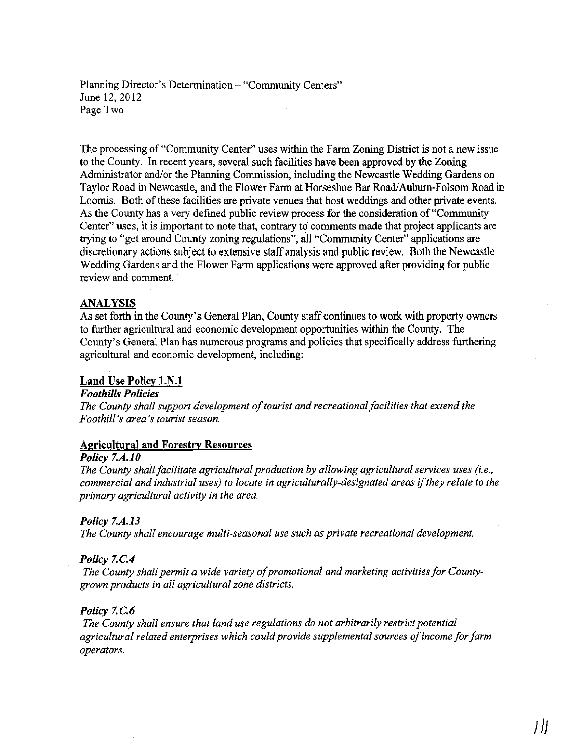Planning Director's Determination - "Community Centers" June 12, 2012 Page Two

The processing of "Community Center" uses within the Farm Zoning District is not a new issue to the County. In recent years, several such facilities have been approved by the Zoning Administrator and/or the Planning Commission, including the Newcastle Wedding Gardens on Taylor Road in Newcastle, and the Flower Farm at Horseshoe Bar Road/Auburn-Folsom Road in Loomis. Both of these facilities are private venues that host weddings and other private events. As the County has a very defined public review process for the consideration of "Community Center" uses, it is important to note that, contrary to comments made that project applicants are trying to "get around County zoning regulations", all "Community Center" applications are discretionary actions subject to extensive staff analysis and public review. Both the Newcastle Wedding Gardens and the Flower Farm applications were approved after providing for public review and comment.

## ANALYSIS

As set forth in the County's General Plan, County staff continues to work with property owners to further agricultural and economic development opportunities within the County. The County's General Plan has numerous programs and policies that specifically address furthering agricultural and economic development, including:

# Land Use Policy l.N.!

#### F*ooth/lls Policies*

*The* County shall support development of tourist and recreational facilities that extend the *Foothill's area's tourist season.*

#### Agricultural and Forestry Resources

#### *Policy 7.A.l0*

*The County shallfacilitate agricultural production by allowing agricultural services uses (i. e., commercial and industrial uses) to locate in agriculturally-designated areas* if*they relate to the primary agricultural activity in the area.*

# *Policy 7.A.13*

*The County shall encourage multi-seasonal use such as private recreational development.*

#### *Policy 7.C.4*

*The County shall permit a wide variety of promotional and marketing activities for Countygrown products in all agricultural zone districts.*

## Policy 7.C.6

*The County shall ensure that land use regulations do not arbitrarily restrict potential agricultural related enterprises which couldprovide supplemental sources ofincome forfarm operators.*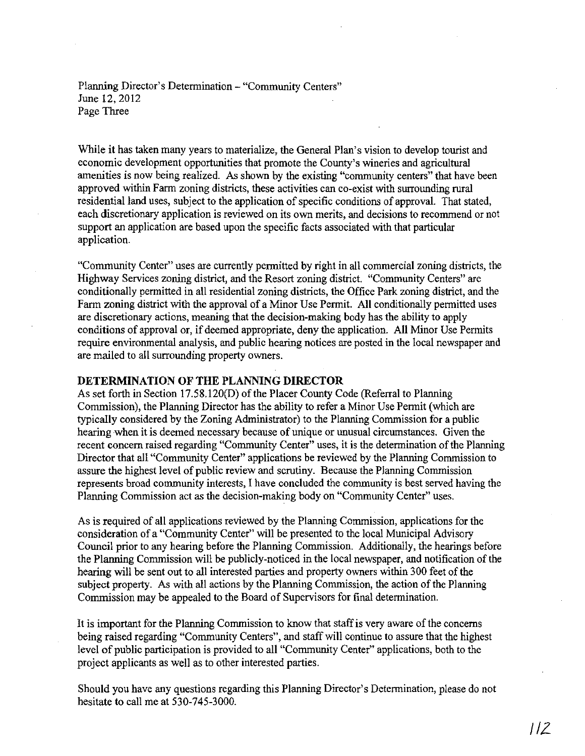Planning Director's Determination - "Community Centers" June 12,2012 Page Three

While it has taken many years to materialize, the General Plan's vision to develop tourist and economic development opportunities that promote the County's wineries and agricultural amenities is now being realized. As shown by the existing "community centers" that have been approved within Farm zoning districts, these activities can co-exist with surrounding rural residential land uses, subject to the application of specific conditions of approval. That stated, each discretionary application is reviewed on its own merits, and decisions to recommend or not support an application are based upon the specific facts associated with that particular application.

"Community Center" uses are currently pennitted by right in all commercial zoning districts, the Highway Services zoning district, and the Resort zoning district. "Community Centers" are conditionally permitted in all residential zoning districts, the Office Park zoning district, and the Farm zoning district with the approval of a Minor Use Permit. All conditionally permitted uses are discretionary actions, meaning that the decision-making body has the ability to apply conditions of approval or, if deemed appropriate, deny the application. All Minor Use Permits require environmental analysis, and public hearing notices are posted in the local newspaper and are mailed to all surrounding property owners.

# **DETERMINATION OF THE PLANNING DIRECTOR**

As set forth in Section 17.58.120(D) of the Placer County Code (Referral to Planning Commission), the Planning Director has the ability to refer a Minor Use Permit (which are typically considered by the Zoning Administrator) to the Planning Commission for a public hearing when it is deemed necessary because of unique or unusual circumstances. Given the recent concern raised regarding "Community Center" uses, it is the determination of the Planning Director that all "Community Center" applications be reviewed by the Planning Commission to assure the highest level of public review and scrutiny. Because the Planning Commission represents broad community interests, 1 have concluded the community is best served having the Planning Commission act as the decision-making body on "Community Center" uses.

As is required of all applications reviewed by the Planning Commission, applications for the consideration of a "Community Center" will be presented to the local Municipal Advisory Council prior to any hearing before the Planning Commission. Additionally, the hearings before the Planning Commission will be publicly-noticed in the local newspaper, and notification of the hearing will be sent out to all interested parties and property owners within 300 feet of the subject property. As with all actions by the Planning Commission, the action of the Planning Commission may be appealed to the Board of Supervisors for final determination.

It is important for the Planning Commission to know that staff is very aware of the concerns being raised regarding "Community Centers", and staff will continue to assure that the highest level of public participation is provided to all "Community Center" applications, both to the project applicants as well as to other interested parties.

Should you have any questions regarding this Plarming Director's Determination, please do not hesitate to call me at 530-745-3000.